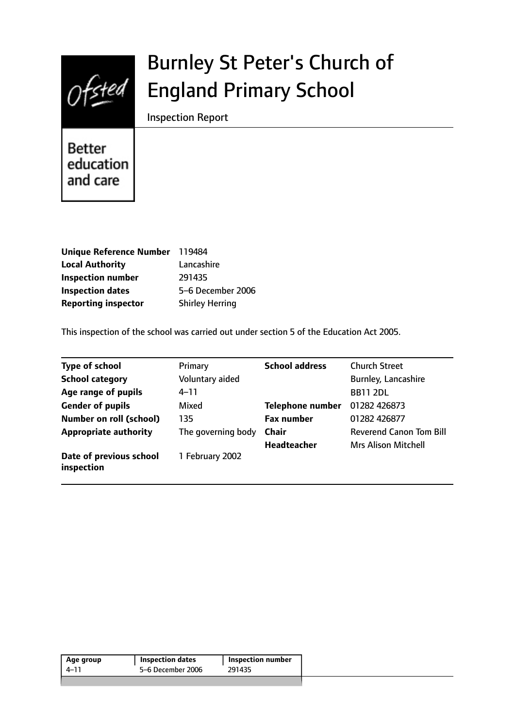

# Burnley St Peter's Church of England Primary School

Inspection Report

**Better** education and care

| Unique Reference Number 119484 |                        |
|--------------------------------|------------------------|
| <b>Local Authority</b>         | Lancashire             |
| <b>Inspection number</b>       | 291435                 |
| <b>Inspection dates</b>        | 5-6 December 2006      |
| <b>Reporting inspector</b>     | <b>Shirley Herring</b> |

This inspection of the school was carried out under section 5 of the Education Act 2005.

| <b>Type of school</b>                 | Primary            | <b>School address</b>   | <b>Church Street</b>           |
|---------------------------------------|--------------------|-------------------------|--------------------------------|
| <b>School category</b>                | Voluntary aided    |                         | Burnley, Lancashire            |
| Age range of pupils                   | $4 - 11$           |                         | <b>BB11 2DL</b>                |
| <b>Gender of pupils</b>               | Mixed              | <b>Telephone number</b> | 01282 426873                   |
| Number on roll (school)               | 135                | <b>Fax number</b>       | 01282 426877                   |
| <b>Appropriate authority</b>          | The governing body | <b>Chair</b>            | <b>Reverend Canon Tom Bill</b> |
|                                       |                    | Headteacher             | <b>Mrs Alison Mitchell</b>     |
| Date of previous school<br>inspection | 1 February 2002    |                         |                                |

|      | <b>Inspection dates</b> | <b>Inspection number</b> |
|------|-------------------------|--------------------------|
| 4–11 | 5-6 December 2006       | 291435                   |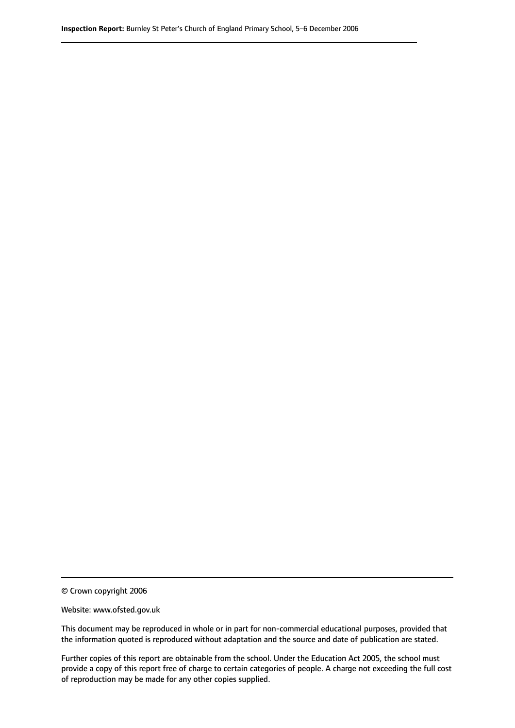© Crown copyright 2006

Website: www.ofsted.gov.uk

This document may be reproduced in whole or in part for non-commercial educational purposes, provided that the information quoted is reproduced without adaptation and the source and date of publication are stated.

Further copies of this report are obtainable from the school. Under the Education Act 2005, the school must provide a copy of this report free of charge to certain categories of people. A charge not exceeding the full cost of reproduction may be made for any other copies supplied.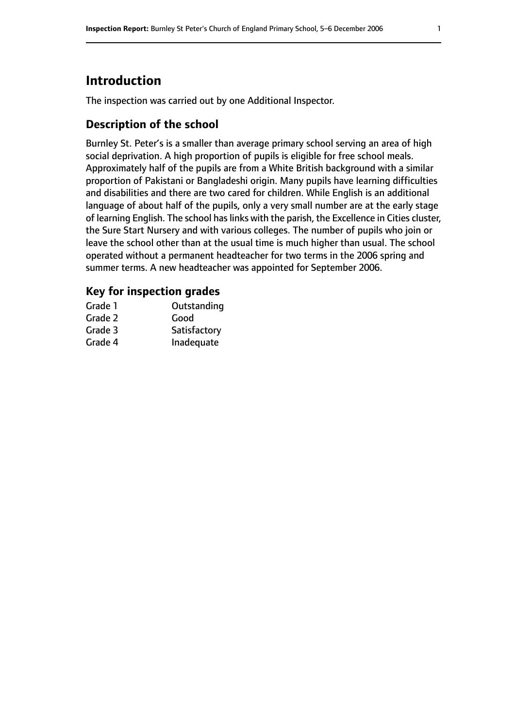# **Introduction**

The inspection was carried out by one Additional Inspector.

### **Description of the school**

Burnley St. Peter's is a smaller than average primary school serving an area of high social deprivation. A high proportion of pupils is eligible for free school meals. Approximately half of the pupils are from a White British background with a similar proportion of Pakistani or Bangladeshi origin. Many pupils have learning difficulties and disabilities and there are two cared for children. While English is an additional language of about half of the pupils, only a very small number are at the early stage of learning English. The school has links with the parish, the Excellence in Cities cluster, the Sure Start Nursery and with various colleges. The number of pupils who join or leave the school other than at the usual time is much higher than usual. The school operated without a permanent headteacher for two terms in the 2006 spring and summer terms. A new headteacher was appointed for September 2006.

#### **Key for inspection grades**

| Outstanding  |
|--------------|
| Good         |
| Satisfactory |
| Inadequate   |
|              |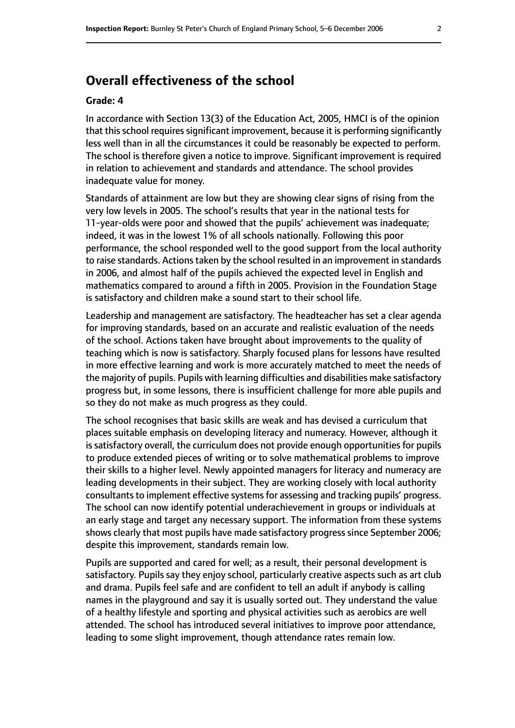# **Overall effectiveness of the school**

#### **Grade: 4**

In accordance with Section 13(3) of the Education Act, 2005, HMCI is of the opinion that this school requires significant improvement, because it is performing significantly less well than in all the circumstances it could be reasonably be expected to perform. The school is therefore given a notice to improve. Significant improvement is required in relation to achievement and standards and attendance. The school provides inadequate value for money.

Standards of attainment are low but they are showing clear signs of rising from the very low levels in 2005. The school's results that year in the national tests for 11-year-olds were poor and showed that the pupils' achievement was inadequate; indeed, it was in the lowest 1% of all schools nationally. Following this poor performance, the school responded well to the good support from the local authority to raise standards. Actions taken by the school resulted in an improvement in standards in 2006, and almost half of the pupils achieved the expected level in English and mathematics compared to around a fifth in 2005. Provision in the Foundation Stage is satisfactory and children make a sound start to their school life.

Leadership and management are satisfactory. The headteacher has set a clear agenda for improving standards, based on an accurate and realistic evaluation of the needs of the school. Actions taken have brought about improvements to the quality of teaching which is now is satisfactory. Sharply focused plans for lessons have resulted in more effective learning and work is more accurately matched to meet the needs of the majority of pupils. Pupils with learning difficulties and disabilities make satisfactory progress but, in some lessons, there is insufficient challenge for more able pupils and so they do not make as much progress as they could.

The school recognises that basic skills are weak and has devised a curriculum that places suitable emphasis on developing literacy and numeracy. However, although it is satisfactory overall, the curriculum does not provide enough opportunities for pupils to produce extended pieces of writing or to solve mathematical problems to improve their skills to a higher level. Newly appointed managers for literacy and numeracy are leading developments in their subject. They are working closely with local authority consultants to implement effective systems for assessing and tracking pupils' progress. The school can now identify potential underachievement in groups or individuals at an early stage and target any necessary support. The information from these systems shows clearly that most pupils have made satisfactory progress since September 2006; despite this improvement, standards remain low.

Pupils are supported and cared for well; as a result, their personal development is satisfactory. Pupils say they enjoy school, particularly creative aspects such as art club and drama. Pupils feel safe and are confident to tell an adult if anybody is calling names in the playground and say it is usually sorted out. They understand the value of a healthy lifestyle and sporting and physical activities such as aerobics are well attended. The school has introduced several initiatives to improve poor attendance, leading to some slight improvement, though attendance rates remain low.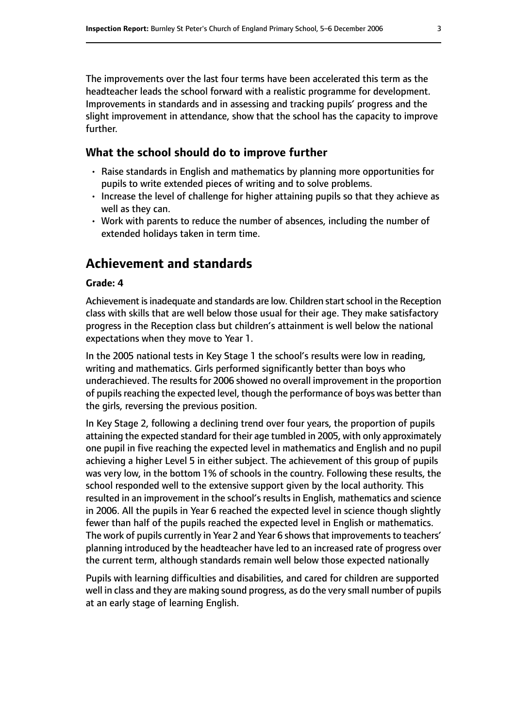The improvements over the last four terms have been accelerated this term as the headteacher leads the school forward with a realistic programme for development. Improvements in standards and in assessing and tracking pupils' progress and the slight improvement in attendance, show that the school has the capacity to improve further.

#### **What the school should do to improve further**

- Raise standards in English and mathematics by planning more opportunities for pupils to write extended pieces of writing and to solve problems.
- Increase the level of challenge for higher attaining pupils so that they achieve as well as they can.
- Work with parents to reduce the number of absences, including the number of extended holidays taken in term time.

## **Achievement and standards**

#### **Grade: 4**

Achievement is inadequate and standards are low. Children start school in the Reception class with skills that are well below those usual for their age. They make satisfactory progress in the Reception class but children's attainment is well below the national expectations when they move to Year 1.

In the 2005 national tests in Key Stage 1 the school's results were low in reading, writing and mathematics. Girls performed significantly better than boys who underachieved. The results for 2006 showed no overall improvement in the proportion of pupils reaching the expected level, though the performance of boys was better than the girls, reversing the previous position.

In Key Stage 2, following a declining trend over four years, the proportion of pupils attaining the expected standard for their age tumbled in 2005, with only approximately one pupil in five reaching the expected level in mathematics and English and no pupil achieving a higher Level 5 in either subject. The achievement of this group of pupils was very low, in the bottom 1% of schools in the country. Following these results, the school responded well to the extensive support given by the local authority. This resulted in an improvement in the school's results in English, mathematics and science in 2006. All the pupils in Year 6 reached the expected level in science though slightly fewer than half of the pupils reached the expected level in English or mathematics. The work of pupils currently in Year 2 and Year 6 shows that improvements to teachers' planning introduced by the headteacher have led to an increased rate of progress over the current term, although standards remain well below those expected nationally

Pupils with learning difficulties and disabilities, and cared for children are supported well in class and they are making sound progress, as do the very small number of pupils at an early stage of learning English.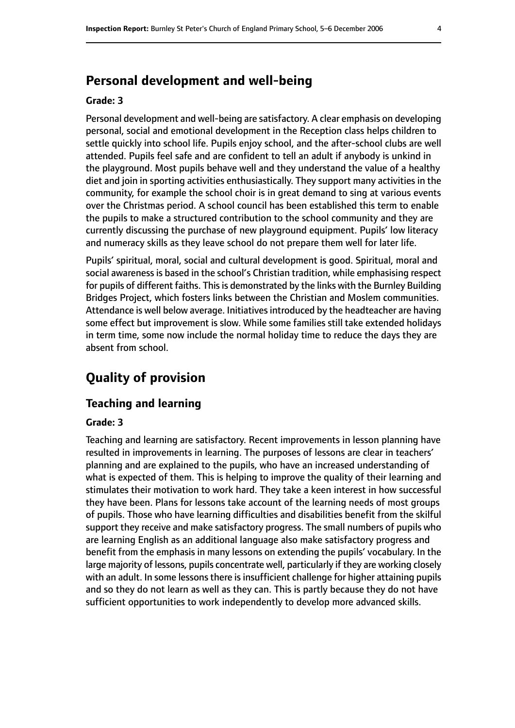# **Personal development and well-being**

#### **Grade: 3**

Personal development and well-being are satisfactory. A clear emphasis on developing personal, social and emotional development in the Reception class helps children to settle quickly into school life. Pupils enjoy school, and the after-school clubs are well attended. Pupils feel safe and are confident to tell an adult if anybody is unkind in the playground. Most pupils behave well and they understand the value of a healthy diet and join in sporting activities enthusiastically. They support many activities in the community, for example the school choir is in great demand to sing at various events over the Christmas period. A school council has been established this term to enable the pupils to make a structured contribution to the school community and they are currently discussing the purchase of new playground equipment. Pupils' low literacy and numeracy skills as they leave school do not prepare them well for later life.

Pupils' spiritual, moral, social and cultural development is good. Spiritual, moral and social awareness is based in the school's Christian tradition, while emphasising respect for pupils of different faiths. This is demonstrated by the links with the Burnley Building Bridges Project, which fosters links between the Christian and Moslem communities. Attendance is well below average. Initiatives introduced by the headteacher are having some effect but improvement is slow. While some families still take extended holidays in term time, some now include the normal holiday time to reduce the days they are absent from school.

# **Quality of provision**

#### **Teaching and learning**

#### **Grade: 3**

Teaching and learning are satisfactory. Recent improvements in lesson planning have resulted in improvements in learning. The purposes of lessons are clear in teachers' planning and are explained to the pupils, who have an increased understanding of what is expected of them. This is helping to improve the quality of their learning and stimulates their motivation to work hard. They take a keen interest in how successful they have been. Plans for lessons take account of the learning needs of most groups of pupils. Those who have learning difficulties and disabilities benefit from the skilful support they receive and make satisfactory progress. The small numbers of pupils who are learning English as an additional language also make satisfactory progress and benefit from the emphasis in many lessons on extending the pupils' vocabulary. In the large majority of lessons, pupils concentrate well, particularly if they are working closely with an adult. In some lessons there is insufficient challenge for higher attaining pupils and so they do not learn as well as they can. This is partly because they do not have sufficient opportunities to work independently to develop more advanced skills.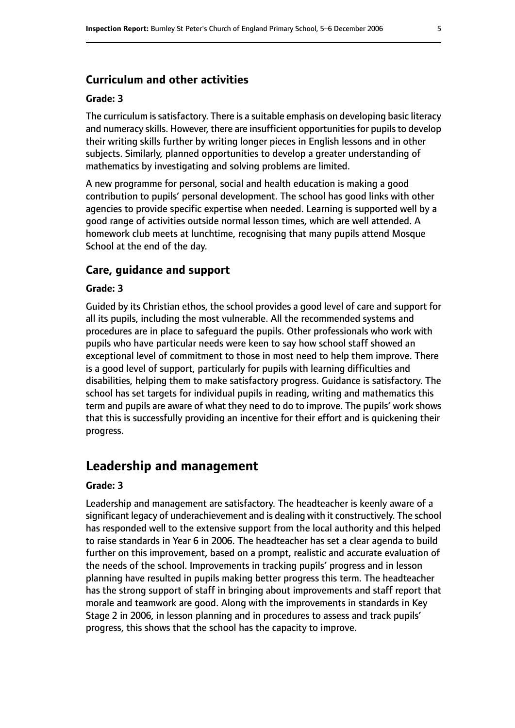#### **Curriculum and other activities**

#### **Grade: 3**

The curriculum issatisfactory. There is a suitable emphasis on developing basic literacy and numeracy skills. However, there are insufficient opportunities for pupils to develop their writing skills further by writing longer pieces in English lessons and in other subjects. Similarly, planned opportunities to develop a greater understanding of mathematics by investigating and solving problems are limited.

A new programme for personal, social and health education is making a good contribution to pupils' personal development. The school has good links with other agencies to provide specific expertise when needed. Learning is supported well by a good range of activities outside normal lesson times, which are well attended. A homework club meets at lunchtime, recognising that many pupils attend Mosque School at the end of the day.

#### **Care, guidance and support**

#### **Grade: 3**

Guided by its Christian ethos, the school provides a good level of care and support for all its pupils, including the most vulnerable. All the recommended systems and procedures are in place to safeguard the pupils. Other professionals who work with pupils who have particular needs were keen to say how school staff showed an exceptional level of commitment to those in most need to help them improve. There is a good level of support, particularly for pupils with learning difficulties and disabilities, helping them to make satisfactory progress. Guidance is satisfactory. The school has set targets for individual pupils in reading, writing and mathematics this term and pupils are aware of what they need to do to improve. The pupils' work shows that this is successfully providing an incentive for their effort and is quickening their progress.

## **Leadership and management**

#### **Grade: 3**

Leadership and management are satisfactory. The headteacher is keenly aware of a significant legacy of underachievement and is dealing with it constructively. The school has responded well to the extensive support from the local authority and this helped to raise standards in Year 6 in 2006. The headteacher has set a clear agenda to build further on this improvement, based on a prompt, realistic and accurate evaluation of the needs of the school. Improvements in tracking pupils' progress and in lesson planning have resulted in pupils making better progress this term. The headteacher has the strong support of staff in bringing about improvements and staff report that morale and teamwork are good. Along with the improvements in standards in Key Stage 2 in 2006, in lesson planning and in procedures to assess and track pupils' progress, this shows that the school has the capacity to improve.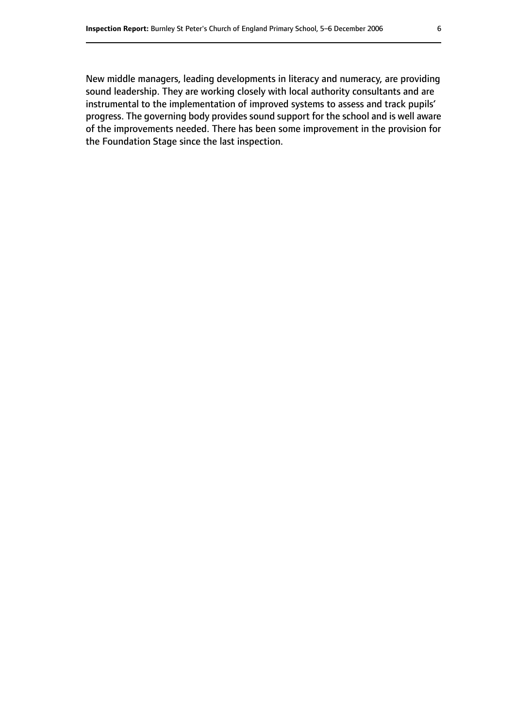New middle managers, leading developments in literacy and numeracy, are providing sound leadership. They are working closely with local authority consultants and are instrumental to the implementation of improved systems to assess and track pupils' progress. The governing body provides sound support for the school and is well aware of the improvements needed. There has been some improvement in the provision for the Foundation Stage since the last inspection.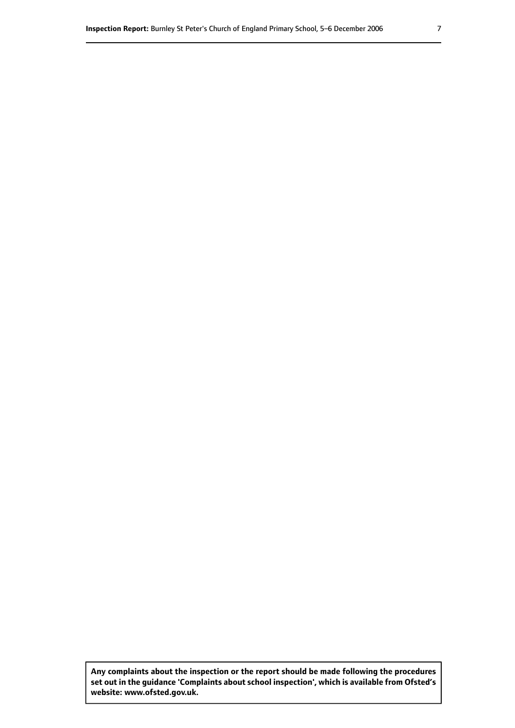**Any complaints about the inspection or the report should be made following the procedures set out inthe guidance 'Complaints about school inspection', whichis available from Ofsted's website: www.ofsted.gov.uk.**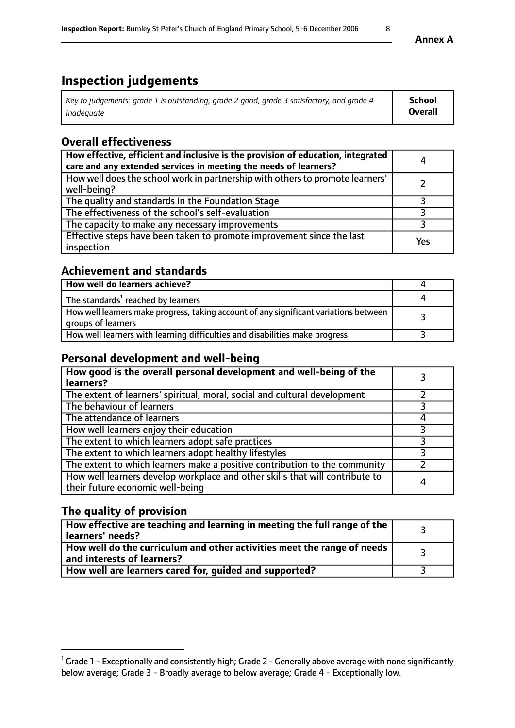# **Inspection judgements**

| Key to judgements: grade 1 is outstanding, grade 2 good, grade 3 satisfactory, and grade 4 | School         |
|--------------------------------------------------------------------------------------------|----------------|
| inadeauate                                                                                 | <b>Overall</b> |

## **Overall effectiveness**

| How effective, efficient and inclusive is the provision of education, integrated<br>care and any extended services in meeting the needs of learners? | 4   |
|------------------------------------------------------------------------------------------------------------------------------------------------------|-----|
| How well does the school work in partnership with others to promote learners'<br>well-being?                                                         |     |
| The quality and standards in the Foundation Stage                                                                                                    |     |
| The effectiveness of the school's self-evaluation                                                                                                    |     |
| The capacity to make any necessary improvements                                                                                                      |     |
| Effective steps have been taken to promote improvement since the last<br>inspection                                                                  | Yes |

## **Achievement and standards**

| How well do learners achieve?                                                                               |  |
|-------------------------------------------------------------------------------------------------------------|--|
| The standards <sup>1</sup> reached by learners                                                              |  |
| How well learners make progress, taking account of any significant variations between<br>groups of learners |  |
| How well learners with learning difficulties and disabilities make progress                                 |  |

## **Personal development and well-being**

| How good is the overall personal development and well-being of the<br>learners?                                  |  |
|------------------------------------------------------------------------------------------------------------------|--|
| The extent of learners' spiritual, moral, social and cultural development                                        |  |
| The behaviour of learners                                                                                        |  |
| The attendance of learners                                                                                       |  |
| How well learners enjoy their education                                                                          |  |
| The extent to which learners adopt safe practices                                                                |  |
| The extent to which learners adopt healthy lifestyles                                                            |  |
| The extent to which learners make a positive contribution to the community                                       |  |
| How well learners develop workplace and other skills that will contribute to<br>their future economic well-being |  |

## **The quality of provision**

| How effective are teaching and learning in meeting the full range of the<br>learners' needs?          |  |
|-------------------------------------------------------------------------------------------------------|--|
| How well do the curriculum and other activities meet the range of needs<br>and interests of learners? |  |
| How well are learners cared for, guided and supported?                                                |  |

 $^1$  Grade 1 - Exceptionally and consistently high; Grade 2 - Generally above average with none significantly below average; Grade 3 - Broadly average to below average; Grade 4 - Exceptionally low.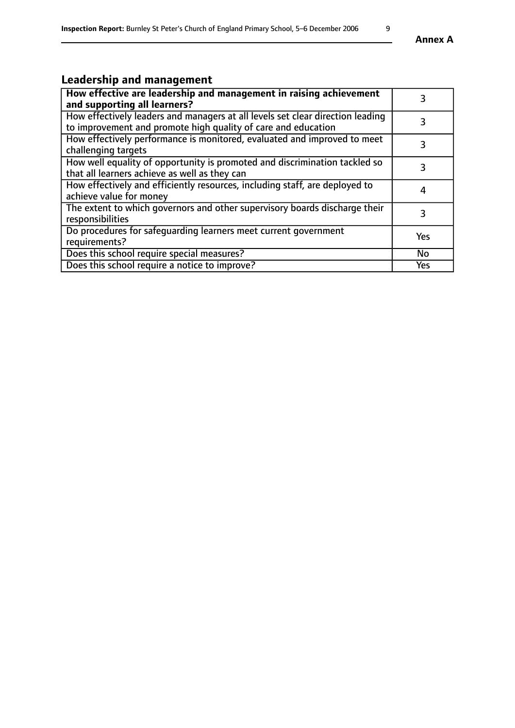# **Leadership and management**

| How effective are leadership and management in raising achievement<br>and supporting all learners?                                              | 3         |
|-------------------------------------------------------------------------------------------------------------------------------------------------|-----------|
| How effectively leaders and managers at all levels set clear direction leading<br>to improvement and promote high quality of care and education |           |
| How effectively performance is monitored, evaluated and improved to meet<br>challenging targets                                                 | 3         |
| How well equality of opportunity is promoted and discrimination tackled so<br>that all learners achieve as well as they can                     |           |
| How effectively and efficiently resources, including staff, are deployed to<br>achieve value for money                                          | 4         |
| The extent to which governors and other supervisory boards discharge their<br>responsibilities                                                  | 3         |
| Do procedures for safeguarding learners meet current government<br>requirements?                                                                | Yes       |
| Does this school require special measures?                                                                                                      | <b>No</b> |
| Does this school require a notice to improve?                                                                                                   | Yes       |